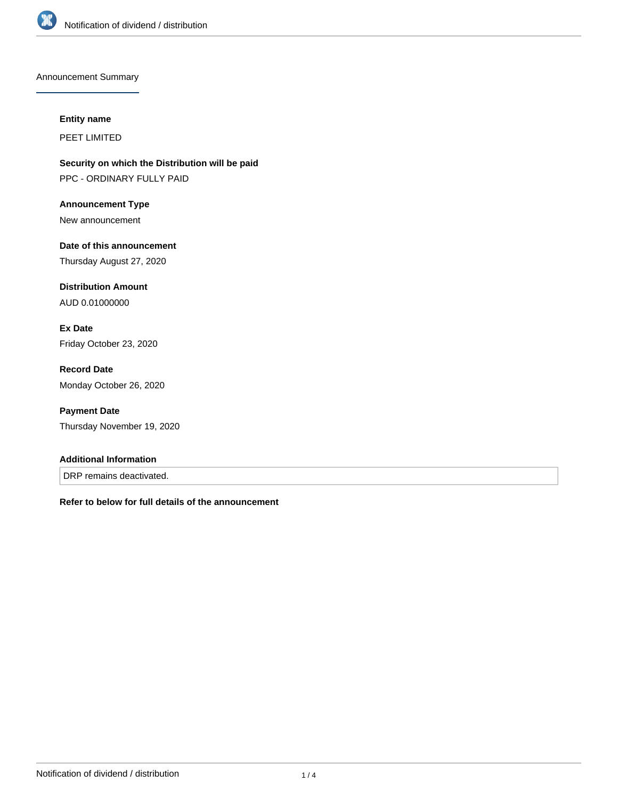

Announcement Summary

#### **Entity name**

PEET LIMITED

**Security on which the Distribution will be paid** PPC - ORDINARY FULLY PAID

**Announcement Type** New announcement

**Date of this announcement** Thursday August 27, 2020

**Distribution Amount** AUD 0.01000000

**Ex Date** Friday October 23, 2020

**Record Date** Monday October 26, 2020

**Payment Date** Thursday November 19, 2020

### **Additional Information**

DRP remains deactivated.

**Refer to below for full details of the announcement**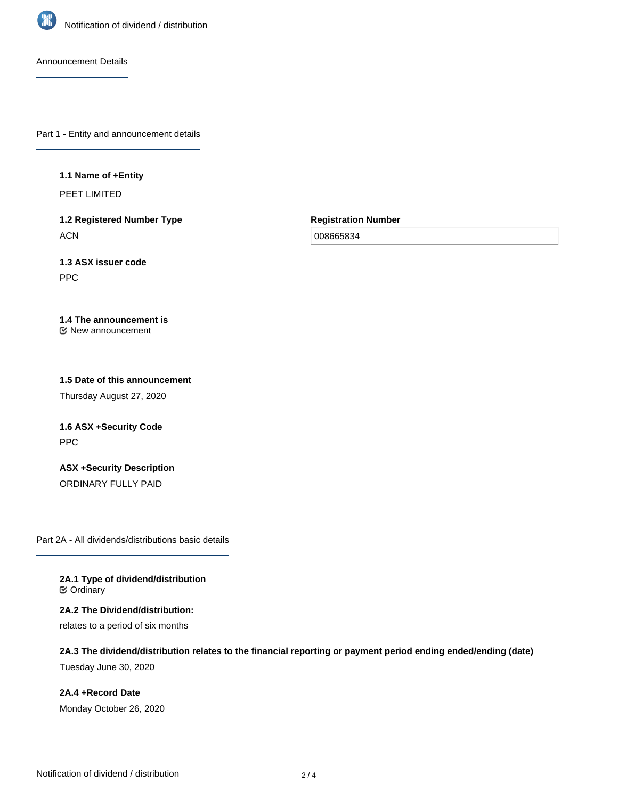

Announcement Details

Part 1 - Entity and announcement details

#### **1.1 Name of +Entity**

PEET LIMITED

**1.2 Registered Number Type ACN** 

**Registration Number**

008665834

**1.3 ASX issuer code** PPC

#### **1.4 The announcement is** New announcement

# **1.5 Date of this announcement**

Thursday August 27, 2020

# **1.6 ASX +Security Code** PPC

**ASX +Security Description** ORDINARY FULLY PAID

Part 2A - All dividends/distributions basic details

**2A.1 Type of dividend/distribution ⊘** Ordinary

**2A.2 The Dividend/distribution:** relates to a period of six months

**2A.3 The dividend/distribution relates to the financial reporting or payment period ending ended/ending (date)** Tuesday June 30, 2020

**2A.4 +Record Date** Monday October 26, 2020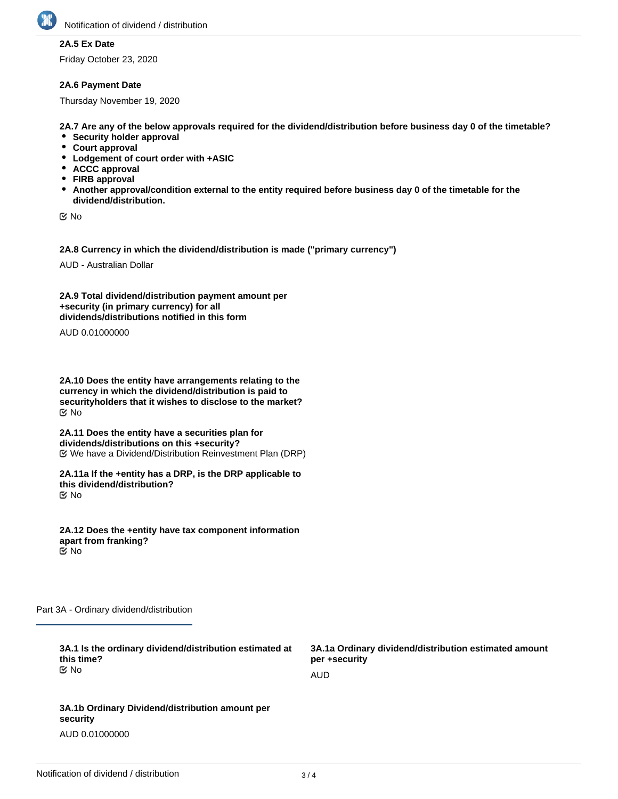

## **2A.5 Ex Date**

Friday October 23, 2020

#### **2A.6 Payment Date**

Thursday November 19, 2020

**2A.7 Are any of the below approvals required for the dividend/distribution before business day 0 of the timetable?**

- **•** Security holder approval
- **Court approval**
- **Lodgement of court order with +ASIC**
- **ACCC approval**
- **FIRB approval**
- **Another approval/condition external to the entity required before business day 0 of the timetable for the dividend/distribution.**

No

**2A.8 Currency in which the dividend/distribution is made ("primary currency")**

AUD - Australian Dollar

**2A.9 Total dividend/distribution payment amount per +security (in primary currency) for all dividends/distributions notified in this form**

AUD 0.01000000

**2A.10 Does the entity have arrangements relating to the currency in which the dividend/distribution is paid to securityholders that it wishes to disclose to the market?** No

**2A.11 Does the entity have a securities plan for dividends/distributions on this +security?** We have a Dividend/Distribution Reinvestment Plan (DRP)

**2A.11a If the +entity has a DRP, is the DRP applicable to this dividend/distribution?** No

**2A.12 Does the +entity have tax component information apart from franking?** No

Part 3A - Ordinary dividend/distribution

| 3A.1 Is the ordinary dividend/distribution estimated at<br>this time?<br><u>ଟ</u> No | 3A.1a Ordinary dividend/distribution estimated amount<br>per +security |
|--------------------------------------------------------------------------------------|------------------------------------------------------------------------|
|                                                                                      | AUD                                                                    |
|                                                                                      |                                                                        |
| 3A.1b Ordinary Dividend/distribution amount per<br>security                          |                                                                        |

AUD 0.01000000